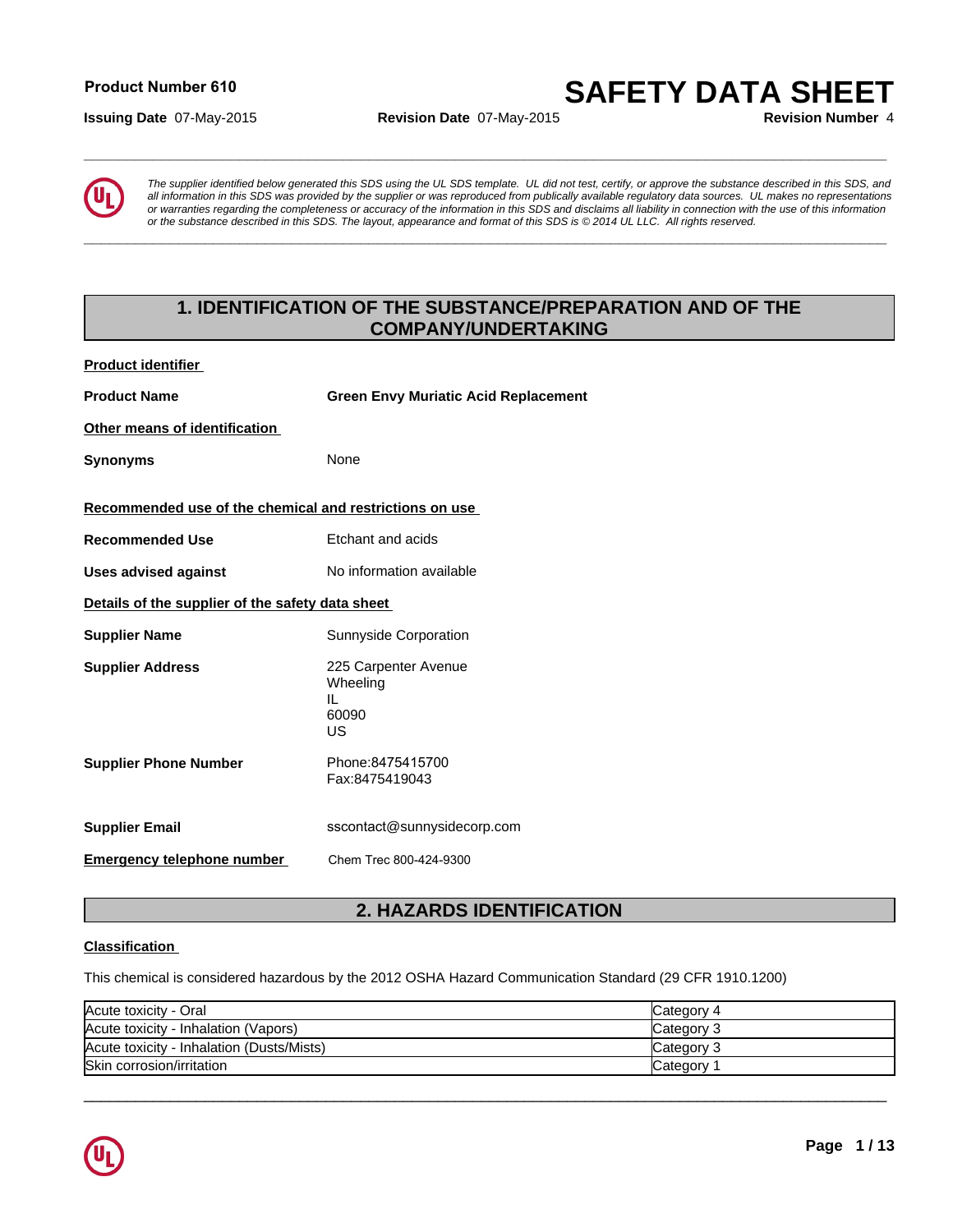# **Product Number 610**

**Issuing Date** 07-May-2015 **Revision Date** 07-May-2015 **Revision Number** 4

**SAFETY DATA SHEET**



**Product identifier** 

*The supplier identified below generated this SDS using the UL SDS template. UL did not test, certify, or approve the substance described in this SDS, and all information in this SDS was provided by the supplier or was reproduced from publically available regulatory data sources. UL makes no representations or warranties regarding the completeness or accuracy of the information in this SDS and disclaims all liability in connection with the use of this information or the substance described in this SDS. The layout, appearance and format of this SDS is © 2014 UL LLC. All rights reserved.* **1. IDENTIFICATION OF THE SUBSTANCE/PREPARATION AND OF THE**<br> **1. IDENTIFICATION OF THE SUBSTANCE/PREPARATION AND OF THE**<br> **1. IDENTIFICATION OF THE SUBSTANCE/PREPARATION AND OF THE**<br> **1. IDENTIFICATION OF THE SUBSTANCE/PRE** 

**\_\_\_\_\_\_\_\_\_\_\_\_\_\_\_\_\_\_\_\_\_\_\_\_\_\_\_\_\_\_\_\_\_\_\_\_\_\_\_\_\_\_\_\_\_\_\_\_\_\_\_\_\_\_\_\_\_\_\_\_\_\_\_\_\_\_\_\_\_\_\_\_\_\_\_\_\_\_\_\_\_\_\_\_\_\_\_\_\_\_\_\_\_**

**\_\_\_\_\_\_\_\_\_\_\_\_\_\_\_\_\_\_\_\_\_\_\_\_\_\_\_\_\_\_\_\_\_\_\_\_\_\_\_\_\_\_\_\_\_\_\_\_\_\_\_\_\_\_\_\_\_\_\_\_\_\_\_\_\_\_\_\_\_\_\_\_\_\_\_\_\_\_\_\_\_\_\_\_\_\_\_\_\_\_\_\_\_**

# **COMPANY/UNDERTAKING**

| י יששעי ושטווייטו                                       |                                                                                                         |
|---------------------------------------------------------|---------------------------------------------------------------------------------------------------------|
| <b>Product Name</b>                                     | <b>Green Envy Muriatic Acid Replacement</b>                                                             |
| Other means of identification                           |                                                                                                         |
| <b>Synonyms</b>                                         | None                                                                                                    |
| Recommended use of the chemical and restrictions on use |                                                                                                         |
| <b>Recommended Use</b>                                  | Etchant and acids                                                                                       |
| <b>Uses advised against</b>                             | No information available                                                                                |
| Details of the supplier of the safety data sheet        |                                                                                                         |
| <b>Supplier Name</b>                                    | Sunnyside Corporation                                                                                   |
| <b>Supplier Address</b>                                 | 225 Carpenter Avenue<br>Wheeling<br>IL<br>60090<br>US                                                   |
| <b>Supplier Phone Number</b>                            | Phone: 8475415700<br>Fax:8475419043                                                                     |
| <b>Supplier Email</b>                                   | sscontact@sunnysidecorp.com                                                                             |
| <b>Emergency telephone number</b>                       | Chem Trec 800-424-9300                                                                                  |
|                                                         | 2. HAZARDS IDENTIFICATION                                                                               |
| <b>Classification</b>                                   |                                                                                                         |
|                                                         | This chemical is considered hazardous by the 2012 OSHA Hazard Communication Standard (29 CFR 1910.1200) |

# **Classification**

| Acute toxicity - Oral                     | Category 4 |
|-------------------------------------------|------------|
| Acute toxicity - Inhalation (Vapors)      | Category 3 |
| Acute toxicity - Inhalation (Dusts/Mists) | Category 3 |
| Skin corrosion/irritation                 | Category   |

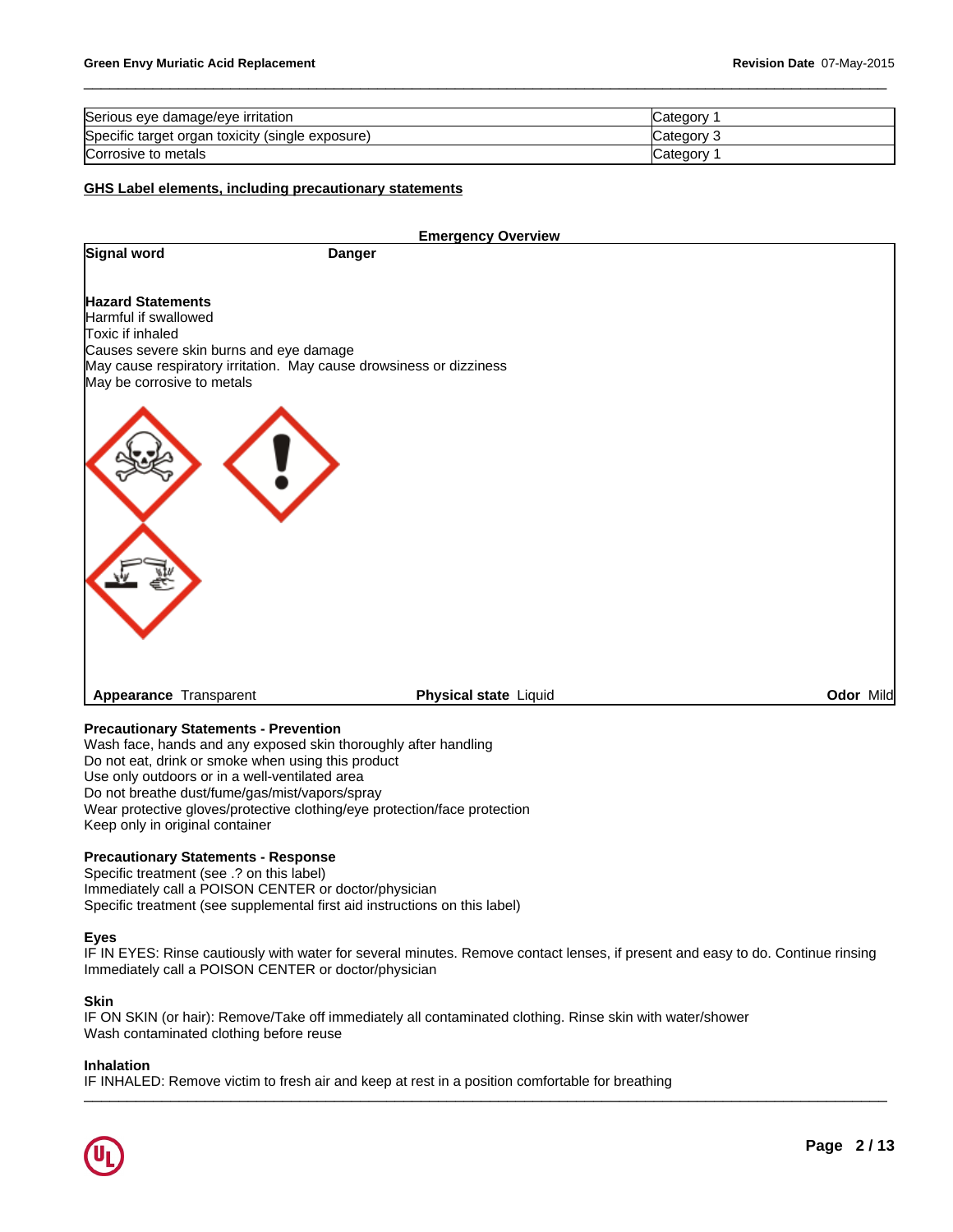| Serious eye damage/eye irritation                | ∵ategory:  |
|--------------------------------------------------|------------|
| Specific target organ toxicity (single exposure) | Category   |
| Corrosive to metals                              | ′ ategoryټ |

# **GHS Label elements, including precautionary statements**

|                                                                                                                                                                                                                      | <b>Emergency Overview</b>    |           |
|----------------------------------------------------------------------------------------------------------------------------------------------------------------------------------------------------------------------|------------------------------|-----------|
| Signal word                                                                                                                                                                                                          | <b>Danger</b>                |           |
| <b>Hazard Statements</b><br>Harmful if swallowed<br>Toxic if inhaled<br>Causes severe skin burns and eye damage<br>May cause respiratory irritation. May cause drowsiness or dizziness<br>May be corrosive to metals |                              |           |
|                                                                                                                                                                                                                      |                              |           |
|                                                                                                                                                                                                                      |                              |           |
| Appearance Transparent                                                                                                                                                                                               | <b>Physical state Liquid</b> | Odor Mild |

# **Precautionary Statements - Prevention**

Wash face, hands and any exposed skin thoroughly after handling Do not eat, drink or smoke when using this product Use only outdoors or in a well-ventilated area Do not breathe dust/fume/gas/mist/vapors/spray Wear protective gloves/protective clothing/eye protection/face protection Keep only in original container

# **Precautionary Statements - Response**

Specific treatment (see .? on this label) Immediately call a POISON CENTER or doctor/physician Specific treatment (see supplemental first aid instructions on this label)

# **Eyes**

IF IN EYES: Rinse cautiously with water for several minutes. Remove contact lenses, if present and easy to do. Continue rinsing Immediately call a POISON CENTER or doctor/physician

# **Skin**

IF ON SKIN (or hair): Remove/Take off immediately all contaminated clothing. Rinse skin with water/shower Wash contaminated clothing before reuse

# **Inhalation**

IF INHALED: Remove victim to fresh air and keep at rest in a position comfortable for breathing

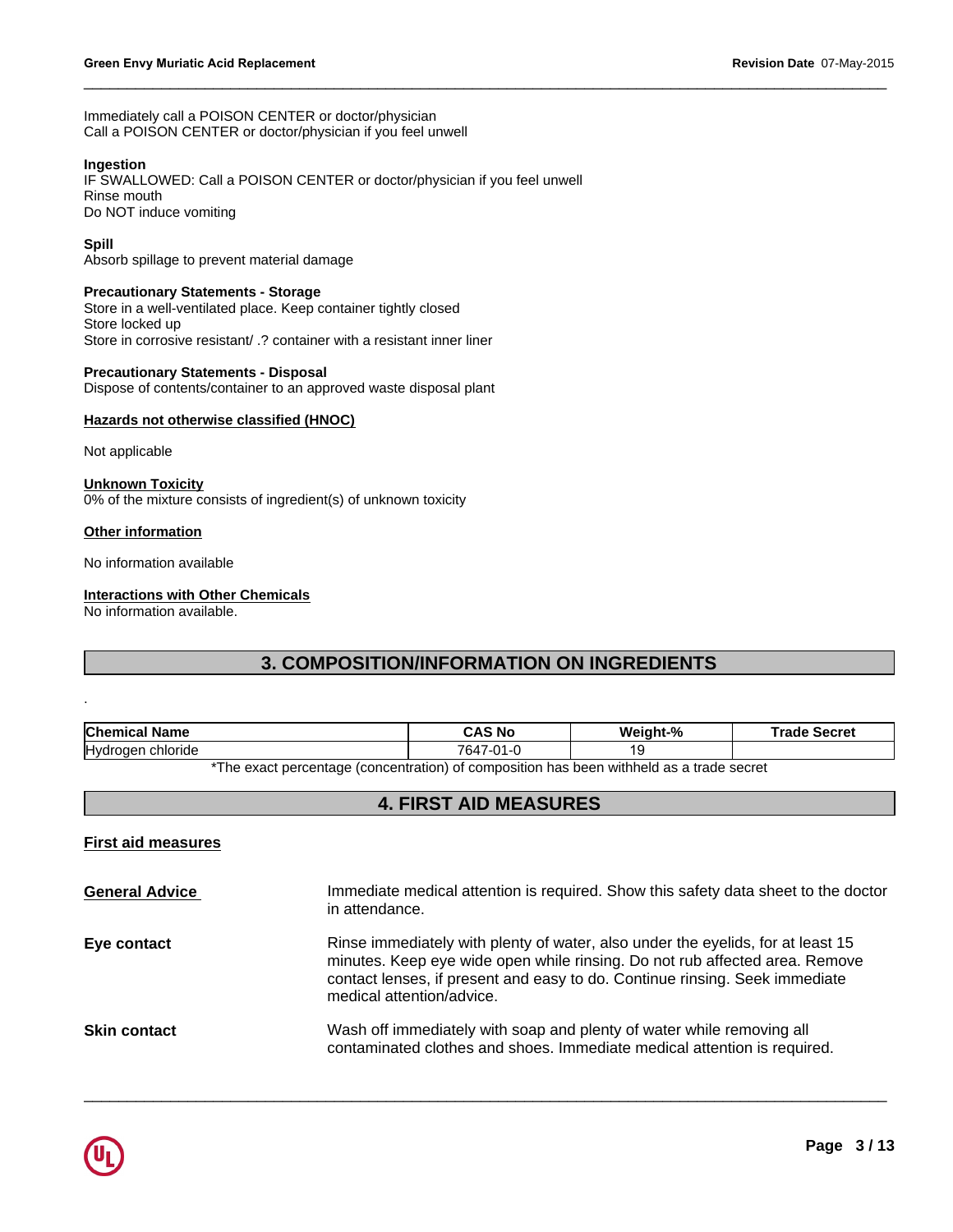Immediately call a POISON CENTER or doctor/physician Call a POISON CENTER or doctor/physician if you feel unwell

# **Ingestion**

IF SWALLOWED: Call a POISON CENTER or doctor/physician if you feel unwell Rinse mouth Do NOT induce vomiting

# **Spill**

Absorb spillage to prevent material damage

# **Precautionary Statements - Storage**

Store in a well-ventilated place. Keep container tightly closed Store locked up Store in corrosive resistant/ .? container with a resistant inner liner

# **Precautionary Statements - Disposal**

# **Hazards not otherwise classified (HNOC)**

# **Other information**

# **Interactions with Other Chemicals**

 $\_$  ,  $\_$  ,  $\_$  ,  $\_$  ,  $\_$  ,  $\_$  ,  $\_$  ,  $\_$  ,  $\_$  ,  $\_$  ,  $\_$  ,  $\_$  ,  $\_$  ,  $\_$  ,  $\_$  ,  $\_$  ,  $\_$  ,  $\_$  ,  $\_$  ,  $\_$  ,  $\_$  ,  $\_$  ,  $\_$  ,  $\_$  ,  $\_$  ,  $\_$  ,  $\_$  ,  $\_$  ,  $\_$  ,  $\_$  ,  $\_$  ,  $\_$  ,  $\_$  ,  $\_$  ,  $\_$  ,  $\_$  ,  $\_$  ,

| Hazards not otherwise classified (HNOC)                                                    |                                                                                          |          |                     |
|--------------------------------------------------------------------------------------------|------------------------------------------------------------------------------------------|----------|---------------------|
| Not applicable                                                                             |                                                                                          |          |                     |
| <b>Unknown Toxicity</b><br>0% of the mixture consists of ingredient(s) of unknown toxicity |                                                                                          |          |                     |
| <b>Other information</b>                                                                   |                                                                                          |          |                     |
| No information available                                                                   |                                                                                          |          |                     |
| <b>Interactions with Other Chemicals</b>                                                   |                                                                                          |          |                     |
|                                                                                            |                                                                                          |          |                     |
|                                                                                            | <b>3. COMPOSITION/INFORMATION ON INGREDIENTS</b>                                         |          |                     |
|                                                                                            |                                                                                          |          |                     |
|                                                                                            | <b>CAS No</b>                                                                            | Weight-% | <b>Trade Secret</b> |
|                                                                                            | 7647-01-0                                                                                | 19       |                     |
|                                                                                            | *The exact percentage (concentration) of composition has been withheld as a trade secret |          |                     |
|                                                                                            | <b>4. FIRST AID MEASURES</b>                                                             |          |                     |
| No information available.<br><b>Chemical Name</b><br>Hydrogen chloride                     |                                                                                          |          |                     |

# **First aid measures**

| <b>General Advice</b> | Immediate medical attention is required. Show this safety data sheet to the doctor<br>in attendance.                                                                                                                                                                       |
|-----------------------|----------------------------------------------------------------------------------------------------------------------------------------------------------------------------------------------------------------------------------------------------------------------------|
| Eye contact           | Rinse immediately with plenty of water, also under the eyelids, for at least 15<br>minutes. Keep eye wide open while rinsing. Do not rub affected area. Remove<br>contact lenses, if present and easy to do. Continue rinsing. Seek immediate<br>medical attention/advice. |
| <b>Skin contact</b>   | Wash off immediately with soap and plenty of water while removing all<br>contaminated clothes and shoes. Immediate medical attention is required.                                                                                                                          |

 $\Box$ 

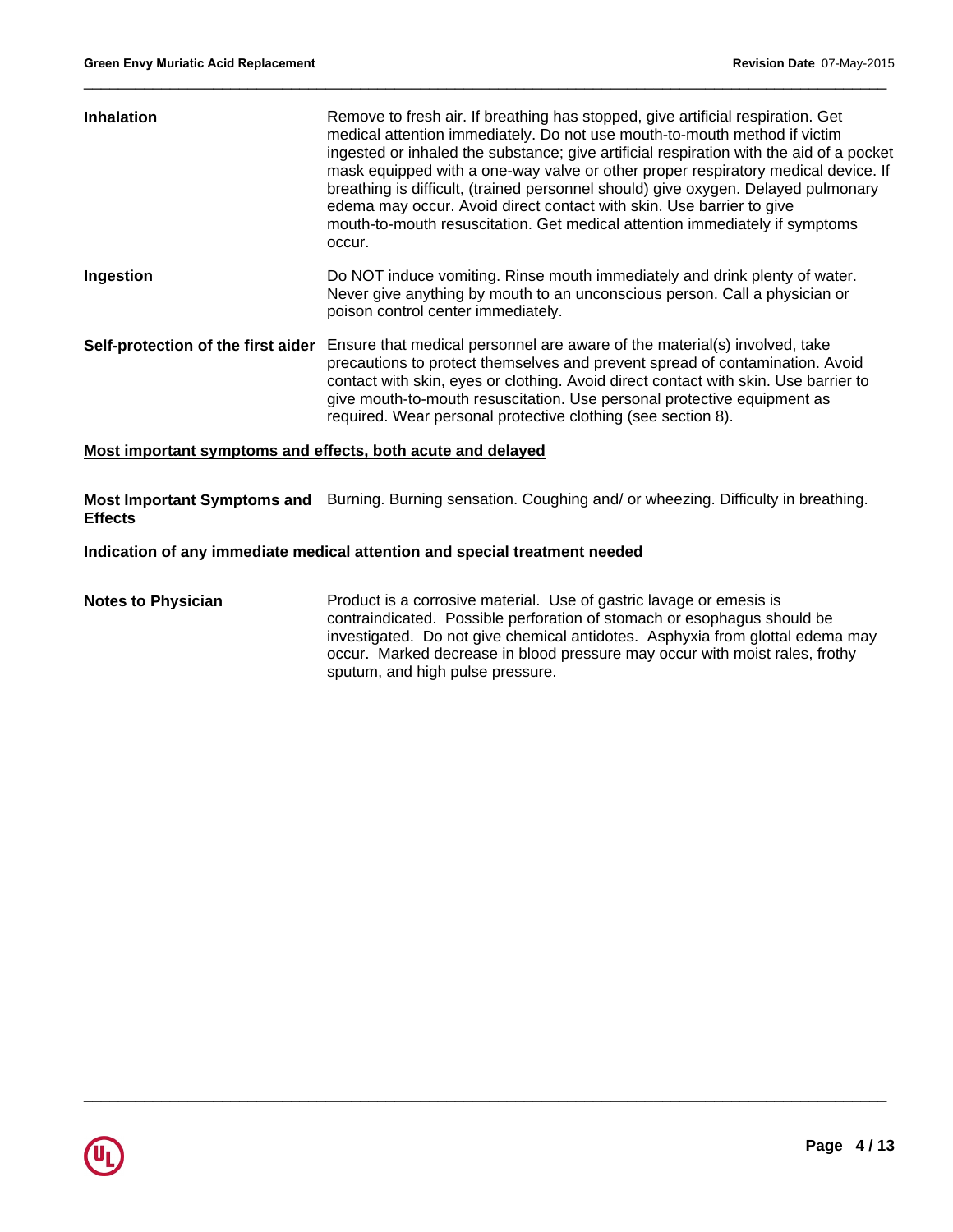| <b>Inhalation</b>                  | Remove to fresh air. If breathing has stopped, give artificial respiration. Get<br>medical attention immediately. Do not use mouth-to-mouth method if victim<br>ingested or inhaled the substance; give artificial respiration with the aid of a pocket<br>mask equipped with a one-way valve or other proper respiratory medical device. If<br>breathing is difficult, (trained personnel should) give oxygen. Delayed pulmonary<br>edema may occur. Avoid direct contact with skin. Use barrier to give<br>mouth-to-mouth resuscitation. Get medical attention immediately if symptoms<br>occur. |
|------------------------------------|----------------------------------------------------------------------------------------------------------------------------------------------------------------------------------------------------------------------------------------------------------------------------------------------------------------------------------------------------------------------------------------------------------------------------------------------------------------------------------------------------------------------------------------------------------------------------------------------------|
| Ingestion                          | Do NOT induce vomiting. Rinse mouth immediately and drink plenty of water.<br>Never give anything by mouth to an unconscious person. Call a physician or<br>poison control center immediately.                                                                                                                                                                                                                                                                                                                                                                                                     |
| Self-protection of the first aider | Ensure that medical personnel are aware of the material(s) involved, take<br>precautions to protect themselves and prevent spread of contamination. Avoid<br>contact with skin, eyes or clothing. Avoid direct contact with skin. Use barrier to<br>give mouth-to-mouth resuscitation. Use personal protective equipment as<br>required. Wear personal protective clothing (see section 8).                                                                                                                                                                                                        |

# **Most important symptoms and effects, both acute and delayed**

**Most Important Symptoms and** Burning. Burning sensation. Coughing and/ or wheezing. Difficulty in breathing. **Effects**

# **Indication of any immediate medical attention and special treatment needed**

# **Notes to Physician Product is a corrosive material. Use of gastric lavage or emesis is** contraindicated. Possible perforation of stomach or esophagus should be investigated. Do not give chemical antidotes. Asphyxia from glottal edema may occur. Marked decrease in blood pressure may occur with moist rales, frothy sputum, and high pulse pressure.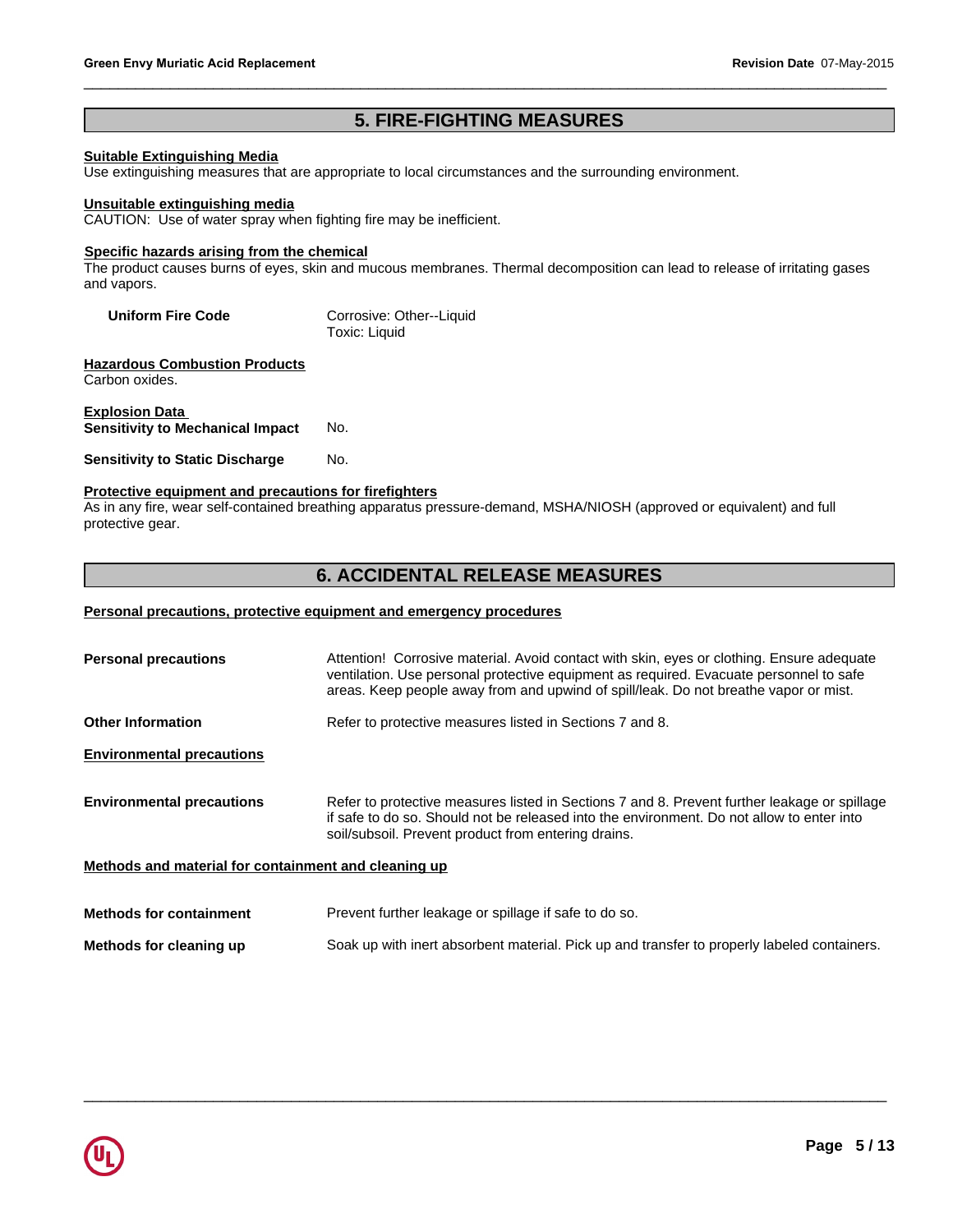# **Suitable Extinguishing Media**

**12. Revision Date 07-May**<br> **5. FIRE-FIGHTING MEASURES**<br>
priate to local circumstances and the surrounding environment. Use extinguishing measures that are appropriate to local circumstances and the surrounding environment.

# **Unsuitable extinguishing media**

CAUTION: Use of water spray when fighting fire may be inefficient.

# **Specific hazards arising from the chemical**

The product causes burns of eyes, skin and mucous membranes. Thermal decomposition can lead to release of irritating gases and vapors.

| <b>Uniform Fire Code</b> | Corrosive: Other--Liquid |
|--------------------------|--------------------------|
|                          | Toxic: Liquid            |

**Hazardous Combustion Products** Carbon oxides.

# **Explosion Data Sensitivity to Mechanical Impact** No.

**Sensitivity to Static Discharge No.** 

# **Protective equipment and precautions for firefighters**

As in any fire, wear self-contained breathing apparatus pressure-demand, MSHA/NIOSH (approved or equivalent) and full protective gear. Corrosive: Other--Liquid<br>
Toxic: Liquid<br>
No.<br>
No.<br>
No.<br> **6. ACCIDENTAL RELEASE MEASURES**<br> **6. ACCIDENTAL RELEASE MEASURES** 

# **Personal precautions, protective equipment and emergency procedures**

| <b>Personal precautions</b>                          | Attention! Corrosive material. Avoid contact with skin, eyes or clothing. Ensure adequate<br>ventilation. Use personal protective equipment as required. Evacuate personnel to safe<br>areas. Keep people away from and upwind of spill/leak. Do not breathe vapor or mist. |  |
|------------------------------------------------------|-----------------------------------------------------------------------------------------------------------------------------------------------------------------------------------------------------------------------------------------------------------------------------|--|
| <b>Other Information</b>                             | Refer to protective measures listed in Sections 7 and 8.                                                                                                                                                                                                                    |  |
| <b>Environmental precautions</b>                     |                                                                                                                                                                                                                                                                             |  |
| <b>Environmental precautions</b>                     | Refer to protective measures listed in Sections 7 and 8. Prevent further leakage or spillage<br>if safe to do so. Should not be released into the environment. Do not allow to enter into<br>soil/subsoil. Prevent product from entering drains.                            |  |
| Methods and material for containment and cleaning up |                                                                                                                                                                                                                                                                             |  |
| <b>Methods for containment</b>                       | Prevent further leakage or spillage if safe to do so.                                                                                                                                                                                                                       |  |

**Methods for cleaning up** Soak up with inert absorbent material. Pick up and transfer to properly labeled containers.

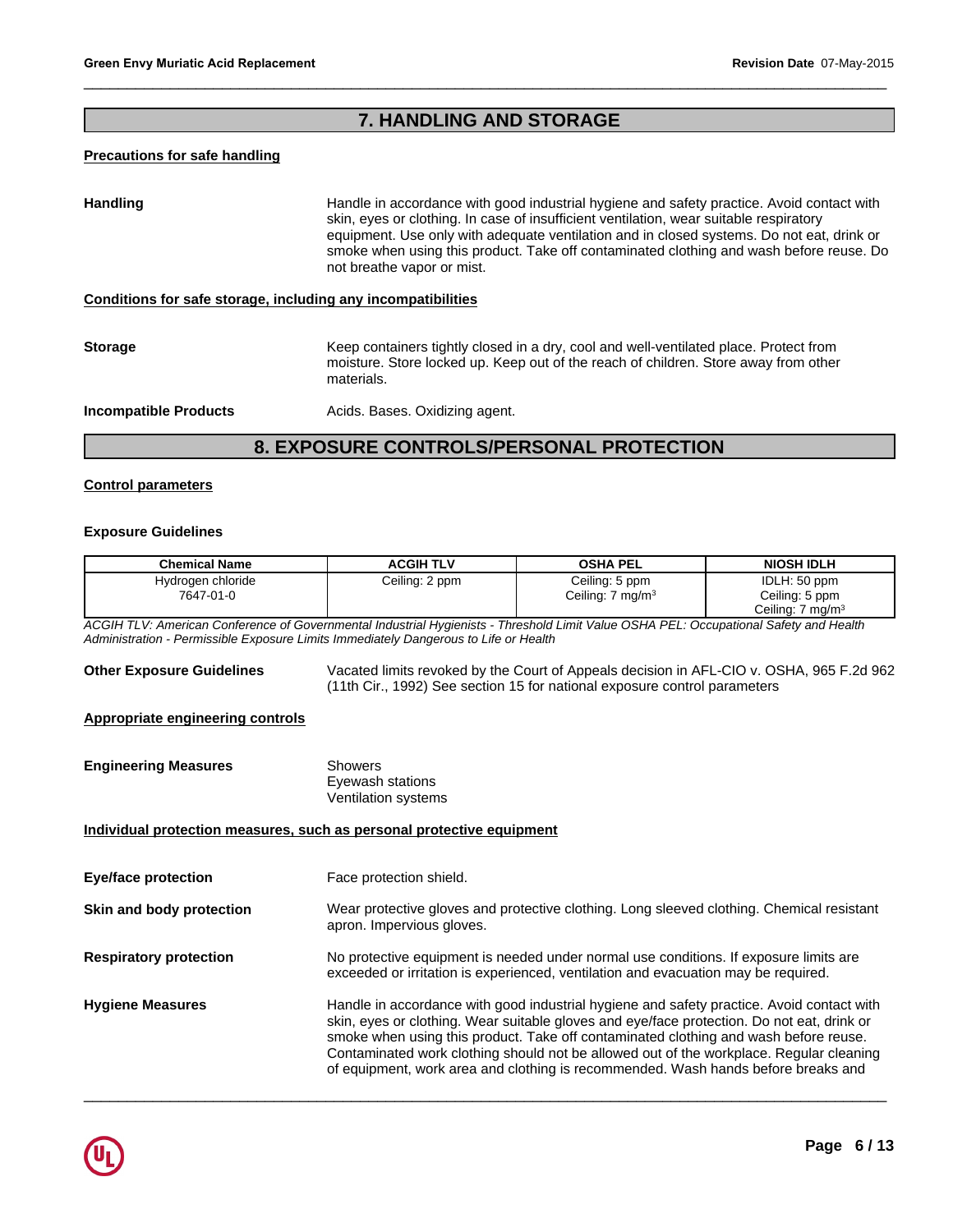# Revision Date 07-Ma<br>**7. HANDLING AND STORAGE**

# **Precautions for safe handling**

Francelle in accordance with good industrial hygiene and safety practice. Avoid contact with skin, eyes or clothing. In case of insufficient ventilation, wear suitable respiratory equipment. Use only with adequate ventilat Handling **Handle in accordance with good industrial hygiene and safety practice. Avoid contact with and safety practice.** skin, eyes or clothing. In case of insufficient ventilation, wear suitable respiratory equipment. Use only with adequate ventilation and in closed systems. Do not eat, drink or smoke when using this product. Take off contaminated clothing and wash before reuse. Do not breathe vapor or mist.

# **Conditions for safe storage, including any incompatibilities**

**Storage** Keep containers tightly closed in a dry, cool and well-ventilated place. Protect from moisture. Store locked up. Keep out of the reach of children. Store away from other materials.

 $\_$  ,  $\_$  ,  $\_$  ,  $\_$  ,  $\_$  ,  $\_$  ,  $\_$  ,  $\_$  ,  $\_$  ,  $\_$  ,  $\_$  ,  $\_$  ,  $\_$  ,  $\_$  ,  $\_$  ,  $\_$  ,  $\_$  ,  $\_$  ,  $\_$  ,  $\_$  ,  $\_$  ,  $\_$  ,  $\_$  ,  $\_$  ,  $\_$  ,  $\_$  ,  $\_$  ,  $\_$  ,  $\_$  ,  $\_$  ,  $\_$  ,  $\_$  ,  $\_$  ,  $\_$  ,  $\_$  ,  $\_$  ,  $\_$  ,

**Incompatible Products Acids. Bases. Oxidizing agent.** 

# **Control parameters**

# **Exposure Guidelines**

| Hydrogen chloride<br>Ceiling: 2 ppm<br>Ceiling: 5 ppm                                                                                                                                                                                                                                                                                                                                                                                                                                      |                                                                                                                                                                       |  |  |
|--------------------------------------------------------------------------------------------------------------------------------------------------------------------------------------------------------------------------------------------------------------------------------------------------------------------------------------------------------------------------------------------------------------------------------------------------------------------------------------------|-----------------------------------------------------------------------------------------------------------------------------------------------------------------------|--|--|
| 7647-01-0<br>Ceiling: 7 mg/m <sup>3</sup>                                                                                                                                                                                                                                                                                                                                                                                                                                                  | IDLH: 50 ppm<br>Ceiling: 5 ppm<br>Ceiling: 7 mg/m <sup>3</sup>                                                                                                        |  |  |
| ACGIH TLV: American Conference of Governmental Industrial Hygienists - Threshold Limit Value OSHA PEL: Occupational Safety and Health<br>Administration - Permissible Exposure Limits Immediately Dangerous to Life or Health                                                                                                                                                                                                                                                              |                                                                                                                                                                       |  |  |
| <b>Other Exposure Guidelines</b>                                                                                                                                                                                                                                                                                                                                                                                                                                                           | Vacated limits revoked by the Court of Appeals decision in AFL-CIO v. OSHA, 965 F.2d 962<br>(11th Cir., 1992) See section 15 for national exposure control parameters |  |  |
| Appropriate engineering controls                                                                                                                                                                                                                                                                                                                                                                                                                                                           |                                                                                                                                                                       |  |  |
| <b>Engineering Measures</b><br><b>Showers</b><br>Eyewash stations<br>Ventilation systems                                                                                                                                                                                                                                                                                                                                                                                                   |                                                                                                                                                                       |  |  |
| Individual protection measures, such as personal protective equipment                                                                                                                                                                                                                                                                                                                                                                                                                      |                                                                                                                                                                       |  |  |
| Face protection shield.<br><b>Eye/face protection</b>                                                                                                                                                                                                                                                                                                                                                                                                                                      |                                                                                                                                                                       |  |  |
| Skin and body protection<br>Wear protective gloves and protective clothing. Long sleeved clothing. Chemical resistant<br>apron. Impervious gloves.                                                                                                                                                                                                                                                                                                                                         |                                                                                                                                                                       |  |  |
| No protective equipment is needed under normal use conditions. If exposure limits are<br><b>Respiratory protection</b><br>exceeded or irritation is experienced, ventilation and evacuation may be required.                                                                                                                                                                                                                                                                               |                                                                                                                                                                       |  |  |
| Handle in accordance with good industrial hygiene and safety practice. Avoid contact with<br><b>Hygiene Measures</b><br>skin, eyes or clothing. Wear suitable gloves and eye/face protection. Do not eat, drink or<br>smoke when using this product. Take off contaminated clothing and wash before reuse.<br>Contaminated work clothing should not be allowed out of the workplace. Regular cleaning<br>of equipment, work area and clothing is recommended. Wash hands before breaks and |                                                                                                                                                                       |  |  |

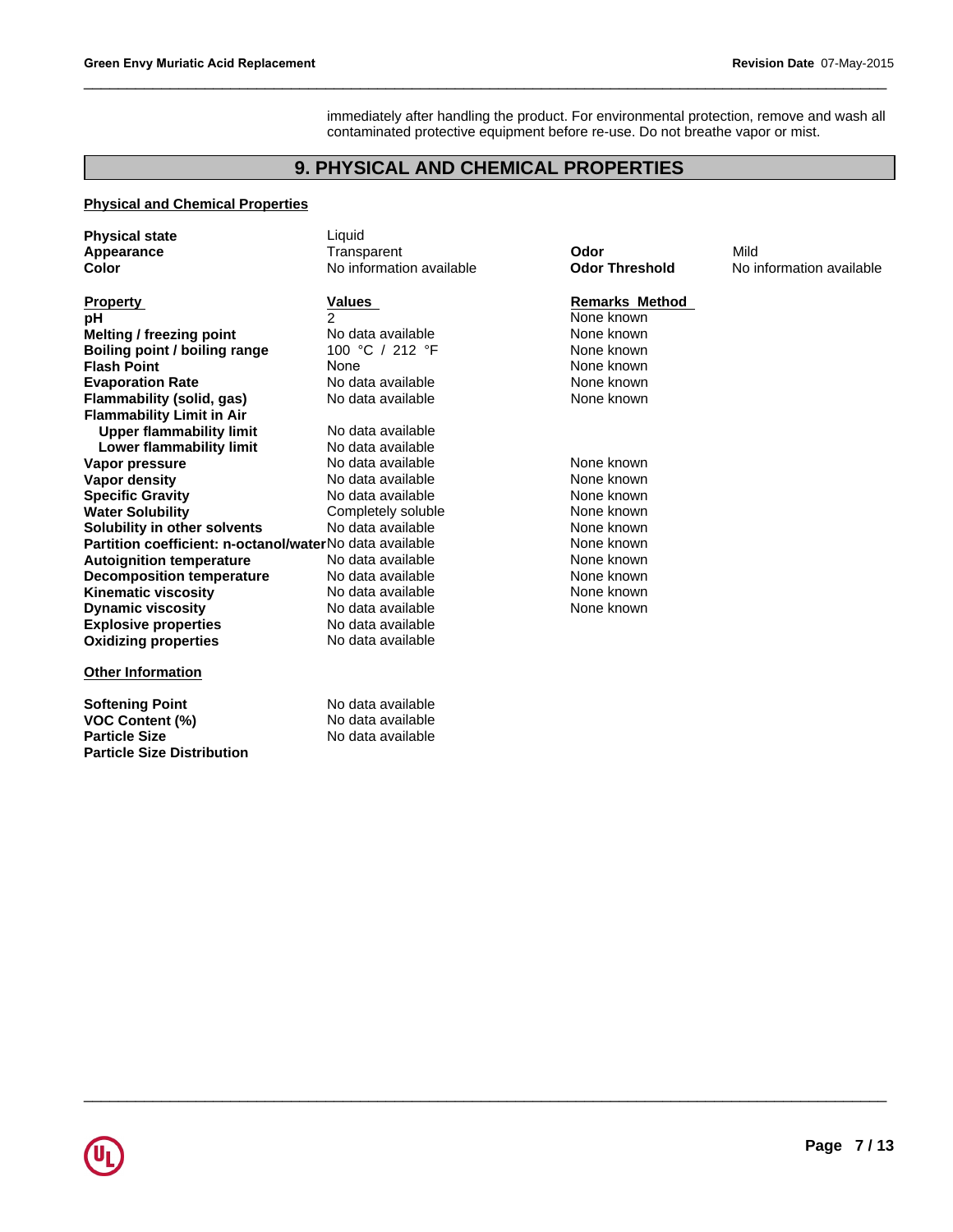immediately after handling the product. For environmental protection, remove and wash all contaminated protective equipment before re-use. Do not breathe vapor or mist. **PHYSICAL AND CHEMICAL PROPERTIES**<br>
Liquid

 $\_$  ,  $\_$  ,  $\_$  ,  $\_$  ,  $\_$  ,  $\_$  ,  $\_$  ,  $\_$  ,  $\_$  ,  $\_$  ,  $\_$  ,  $\_$  ,  $\_$  ,  $\_$  ,  $\_$  ,  $\_$  ,  $\_$  ,  $\_$  ,  $\_$  ,  $\_$  ,  $\_$  ,  $\_$  ,  $\_$  ,  $\_$  ,  $\_$  ,  $\_$  ,  $\_$  ,  $\_$  ,  $\_$  ,  $\_$  ,  $\_$  ,  $\_$  ,  $\_$  ,  $\_$  ,  $\_$  ,  $\_$  ,  $\_$  ,

 $\_$  ,  $\_$  ,  $\_$  ,  $\_$  ,  $\_$  ,  $\_$  ,  $\_$  ,  $\_$  ,  $\_$  ,  $\_$  ,  $\_$  ,  $\_$  ,  $\_$  ,  $\_$  ,  $\_$  ,  $\_$  ,  $\_$  ,  $\_$  ,  $\_$  ,  $\_$  ,  $\_$  ,  $\_$  ,  $\_$  ,  $\_$  ,  $\_$  ,  $\_$  ,  $\_$  ,  $\_$  ,  $\_$  ,  $\_$  ,  $\_$  ,  $\_$  ,  $\_$  ,  $\_$  ,  $\_$  ,  $\_$  ,  $\_$  ,

# **Physical and Chemical Properties**

| <b>Physical state</b>                                   | Liquid                   |                       |                          |
|---------------------------------------------------------|--------------------------|-----------------------|--------------------------|
| Appearance                                              | Transparent              | Odor                  | Mild                     |
| Color                                                   | No information available | <b>Odor Threshold</b> | No information available |
| <b>Property</b>                                         | Values                   | <b>Remarks Method</b> |                          |
| рH                                                      | 2                        | None known            |                          |
| Melting / freezing point                                | No data available        | None known            |                          |
| Boiling point / boiling range                           | 100 °C / 212 °F          | None known            |                          |
| <b>Flash Point</b>                                      | None                     | None known            |                          |
| <b>Evaporation Rate</b>                                 | No data available        | None known            |                          |
| Flammability (solid, gas)                               | No data available        | None known            |                          |
| <b>Flammability Limit in Air</b>                        |                          |                       |                          |
| <b>Upper flammability limit</b>                         | No data available        |                       |                          |
| Lower flammability limit                                | No data available        |                       |                          |
| Vapor pressure                                          | No data available        | None known            |                          |
| Vapor density                                           | No data available        | None known            |                          |
| <b>Specific Gravity</b>                                 | No data available        | None known            |                          |
| <b>Water Solubility</b>                                 | Completely soluble       | None known            |                          |
| Solubility in other solvents                            | No data available        | None known            |                          |
| Partition coefficient: n-octanol/waterNo data available |                          | None known            |                          |
| <b>Autoignition temperature</b>                         | No data available        | None known            |                          |
| <b>Decomposition temperature</b>                        | No data available        | None known            |                          |
| <b>Kinematic viscosity</b>                              | No data available        | None known            |                          |
| <b>Dynamic viscosity</b>                                | No data available        | None known            |                          |
| <b>Explosive properties</b>                             | No data available        |                       |                          |
| <b>Oxidizing properties</b>                             | No data available        |                       |                          |
| <b>Other Information</b>                                |                          |                       |                          |
| <b>Softening Point</b>                                  | No data available        |                       |                          |
| <b>VOC Content (%)</b>                                  | No data available        |                       |                          |
| <b>Particle Size</b>                                    | No data available        |                       |                          |
| <b>Particle Size Distribution</b>                       |                          |                       |                          |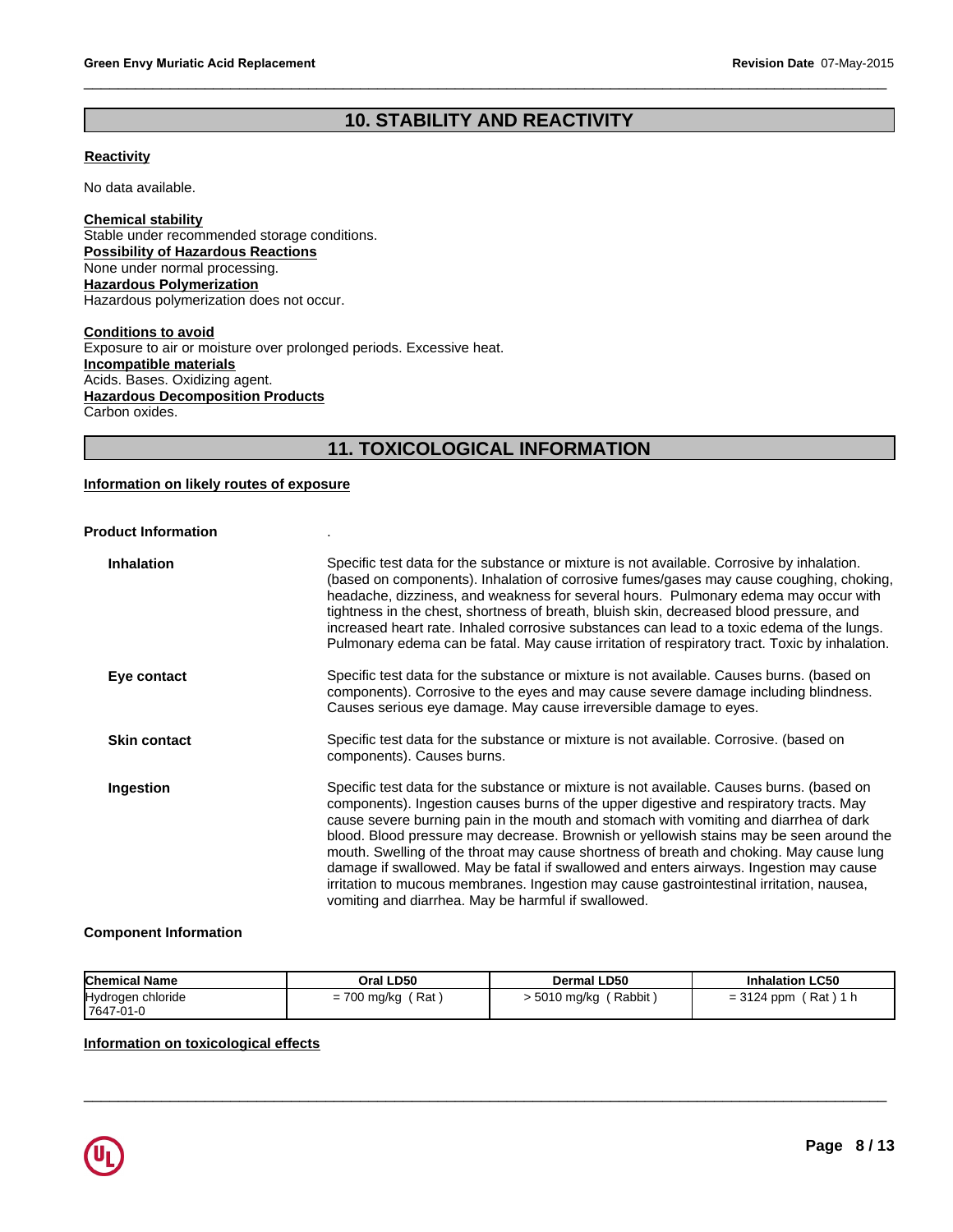# Revision Date 07-May-2<br>**10. STABILITY AND REACTIVITY**

 $\_$  ,  $\_$  ,  $\_$  ,  $\_$  ,  $\_$  ,  $\_$  ,  $\_$  ,  $\_$  ,  $\_$  ,  $\_$  ,  $\_$  ,  $\_$  ,  $\_$  ,  $\_$  ,  $\_$  ,  $\_$  ,  $\_$  ,  $\_$  ,  $\_$  ,  $\_$  ,  $\_$  ,  $\_$  ,  $\_$  ,  $\_$  ,  $\_$  ,  $\_$  ,  $\_$  ,  $\_$  ,  $\_$  ,  $\_$  ,  $\_$  ,  $\_$  ,  $\_$  ,  $\_$  ,  $\_$  ,  $\_$  ,  $\_$  ,

# **Reactivity**

No data available.

**Chemical stability** Stable under recommended storage conditions. **Possibility of Hazardous Reactions** None under normal processing. **Hazardous Polymerization** Hazardous polymerization does not occur.

nditions.<br>ged periods. Excessive heat.<br>11. **TOXICOLOGICAL INFORMATION Conditions to avoid** Exposure to air or moisture over prolonged periods. Excessive heat. **Incompatible materials** Acids. Bases. Oxidizing agent. **Hazardous Decomposition Products** Carbon oxides.

# **Information on likely routes of exposure**

# **Product Information** .

| <b>Inhalation</b>   | Specific test data for the substance or mixture is not available. Corrosive by inhalation.<br>(based on components). Inhalation of corrosive fumes/gases may cause coughing, choking,<br>headache, dizziness, and weakness for several hours. Pulmonary edema may occur with<br>tightness in the chest, shortness of breath, bluish skin, decreased blood pressure, and<br>increased heart rate. Inhaled corrosive substances can lead to a toxic edema of the lungs.<br>Pulmonary edema can be fatal. May cause irritation of respiratory tract. Toxic by inhalation.                                                                                                                                          |
|---------------------|-----------------------------------------------------------------------------------------------------------------------------------------------------------------------------------------------------------------------------------------------------------------------------------------------------------------------------------------------------------------------------------------------------------------------------------------------------------------------------------------------------------------------------------------------------------------------------------------------------------------------------------------------------------------------------------------------------------------|
| Eye contact         | Specific test data for the substance or mixture is not available. Causes burns. (based on<br>components). Corrosive to the eyes and may cause severe damage including blindness.<br>Causes serious eye damage. May cause irreversible damage to eyes.                                                                                                                                                                                                                                                                                                                                                                                                                                                           |
| <b>Skin contact</b> | Specific test data for the substance or mixture is not available. Corrosive. (based on<br>components). Causes burns.                                                                                                                                                                                                                                                                                                                                                                                                                                                                                                                                                                                            |
| Ingestion           | Specific test data for the substance or mixture is not available. Causes burns. (based on<br>components). Ingestion causes burns of the upper digestive and respiratory tracts. May<br>cause severe burning pain in the mouth and stomach with vomiting and diarrhea of dark<br>blood. Blood pressure may decrease. Brownish or yellowish stains may be seen around the<br>mouth. Swelling of the throat may cause shortness of breath and choking. May cause lung<br>damage if swallowed. May be fatal if swallowed and enters airways. Ingestion may cause<br>irritation to mucous membranes. Ingestion may cause gastrointestinal irritation, nausea,<br>vomiting and diarrhea. May be harmful if swallowed. |

# **Component Information**

| <b>Chemical Name</b> | Oral LD50   | Dermal LD50 | <b>Inhalation LC50</b> |
|----------------------|-------------|-------------|------------------------|
| Hydrogen chloride    | Rat         | Rabbit      | Rat)                   |
| 7647-01-0            | = 700 mg/kg | 5010 mg/kg  | $= 3124$ ppm           |

 $\_$  ,  $\_$  ,  $\_$  ,  $\_$  ,  $\_$  ,  $\_$  ,  $\_$  ,  $\_$  ,  $\_$  ,  $\_$  ,  $\_$  ,  $\_$  ,  $\_$  ,  $\_$  ,  $\_$  ,  $\_$  ,  $\_$  ,  $\_$  ,  $\_$  ,  $\_$  ,  $\_$  ,  $\_$  ,  $\_$  ,  $\_$  ,  $\_$  ,  $\_$  ,  $\_$  ,  $\_$  ,  $\_$  ,  $\_$  ,  $\_$  ,  $\_$  ,  $\_$  ,  $\_$  ,  $\_$  ,  $\_$  ,  $\_$  ,

# **Information on toxicological effects**

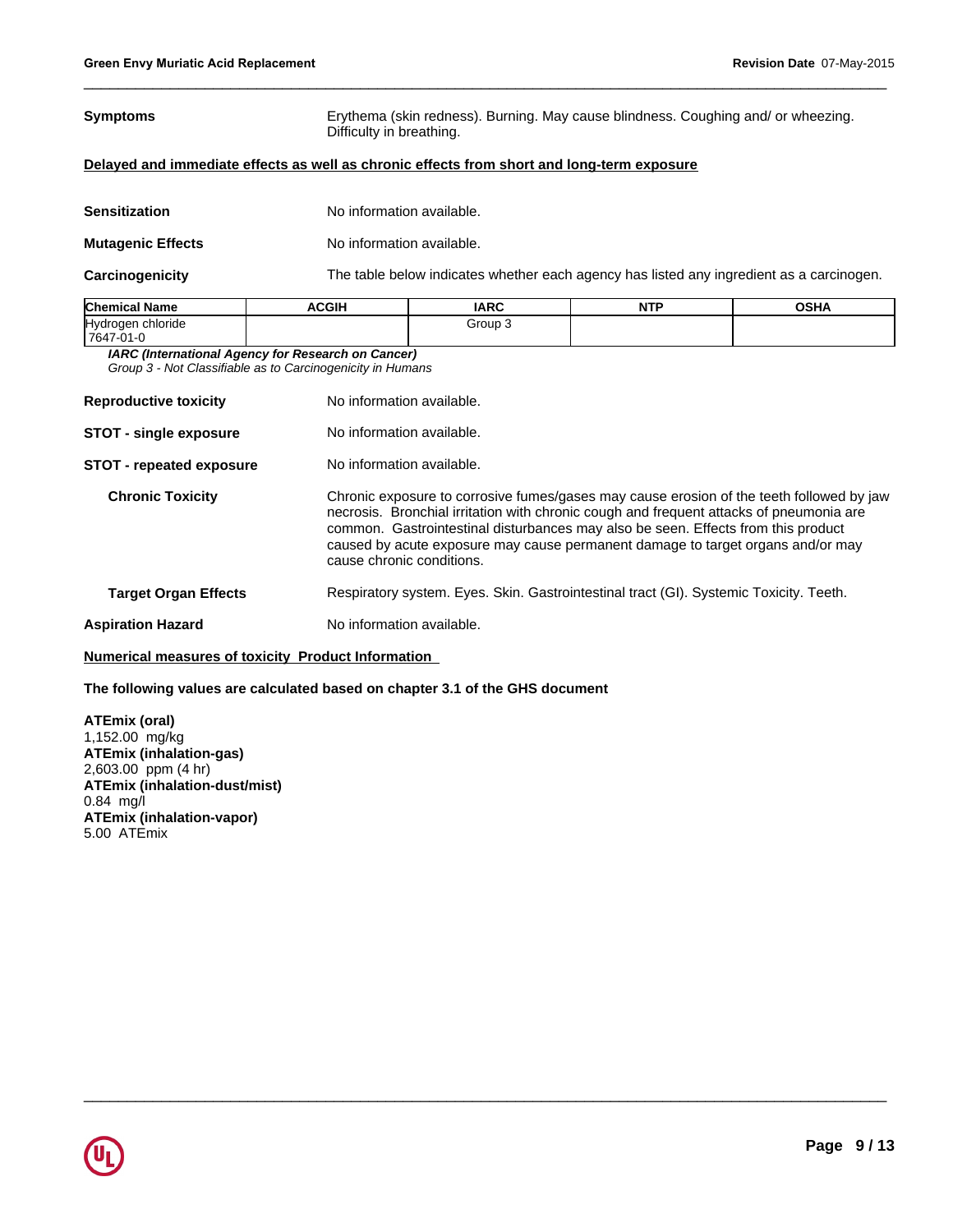| Symptoms | Erythema (skin redness). Burning. May cause blindness. Coughing and/ or wheezing. |
|----------|-----------------------------------------------------------------------------------|
|          | Difficulty in breathing.                                                          |

# **Delayed and immediate effects as well as chronic effects from short and long-term exposure**

| Sensitization                                                     | No information available.            |
|-------------------------------------------------------------------|--------------------------------------|
| <b>Mutagenic Effects</b>                                          | No information available.            |
| $\bigcap$ and $\bigcap$ and $\bigcap$ and $\bigcap$ and $\bigcap$ | The tells helewiselizates whether ze |

**Carcinogenicity** The table below indicates whether each agency has listed any ingredient as a carcinogen.

 $\_$  ,  $\_$  ,  $\_$  ,  $\_$  ,  $\_$  ,  $\_$  ,  $\_$  ,  $\_$  ,  $\_$  ,  $\_$  ,  $\_$  ,  $\_$  ,  $\_$  ,  $\_$  ,  $\_$  ,  $\_$  ,  $\_$  ,  $\_$  ,  $\_$  ,  $\_$  ,  $\_$  ,  $\_$  ,  $\_$  ,  $\_$  ,  $\_$  ,  $\_$  ,  $\_$  ,  $\_$  ,  $\_$  ,  $\_$  ,  $\_$  ,  $\_$  ,  $\_$  ,  $\_$  ,  $\_$  ,  $\_$  ,  $\_$  ,

 $\_$  ,  $\_$  ,  $\_$  ,  $\_$  ,  $\_$  ,  $\_$  ,  $\_$  ,  $\_$  ,  $\_$  ,  $\_$  ,  $\_$  ,  $\_$  ,  $\_$  ,  $\_$  ,  $\_$  ,  $\_$  ,  $\_$  ,  $\_$  ,  $\_$  ,  $\_$  ,  $\_$  ,  $\_$  ,  $\_$  ,  $\_$  ,  $\_$  ,  $\_$  ,  $\_$  ,  $\_$  ,  $\_$  ,  $\_$  ,  $\_$  ,  $\_$  ,  $\_$  ,  $\_$  ,  $\_$  ,  $\_$  ,  $\_$  ,

| <b>Chemical Name</b>          | <b>ACGIH</b> | <b>IARC</b> | הדוג<br>. | <b>OSHA</b> |
|-------------------------------|--------------|-------------|-----------|-------------|
| <b>Hydrogen</b><br>າ chloride |              | Group ∶     |           |             |
| 7647-01-0                     |              |             |           |             |

*IARC (International Agency for Research on Cancer)*

*Group 3 - Not Classifiable as to Carcinogenicity in Humans*

| <b>Reproductive toxicity</b>    | No information available.                                                                                                                                                                                                                                                                                                                                                                |  |  |
|---------------------------------|------------------------------------------------------------------------------------------------------------------------------------------------------------------------------------------------------------------------------------------------------------------------------------------------------------------------------------------------------------------------------------------|--|--|
| <b>STOT - single exposure</b>   | No information available.                                                                                                                                                                                                                                                                                                                                                                |  |  |
| <b>STOT - repeated exposure</b> | No information available.                                                                                                                                                                                                                                                                                                                                                                |  |  |
| <b>Chronic Toxicity</b>         | Chronic exposure to corrosive fumes/gases may cause erosion of the teeth followed by jaw<br>necrosis. Bronchial irritation with chronic cough and frequent attacks of pneumonia are<br>common. Gastrointestinal disturbances may also be seen. Effects from this product<br>caused by acute exposure may cause permanent damage to target organs and/or may<br>cause chronic conditions. |  |  |
| <b>Target Organ Effects</b>     | Respiratory system. Eyes. Skin. Gastrointestinal tract (GI). Systemic Toxicity. Teeth.                                                                                                                                                                                                                                                                                                   |  |  |
| <b>Aspiration Hazard</b>        | No information available.                                                                                                                                                                                                                                                                                                                                                                |  |  |

# **Numerical measures of toxicity Product Information**

# **The following values are calculated based on chapter 3.1 of the GHS document**

**ATEmix (oral)** 1,152.00 mg/kg **ATEmix (inhalation-gas)** 2,603.00 ppm (4 hr) **ATEmix (inhalation-dust/mist)** 0.84 mg/l **ATEmix (inhalation-vapor)** 5.00 ATEmix

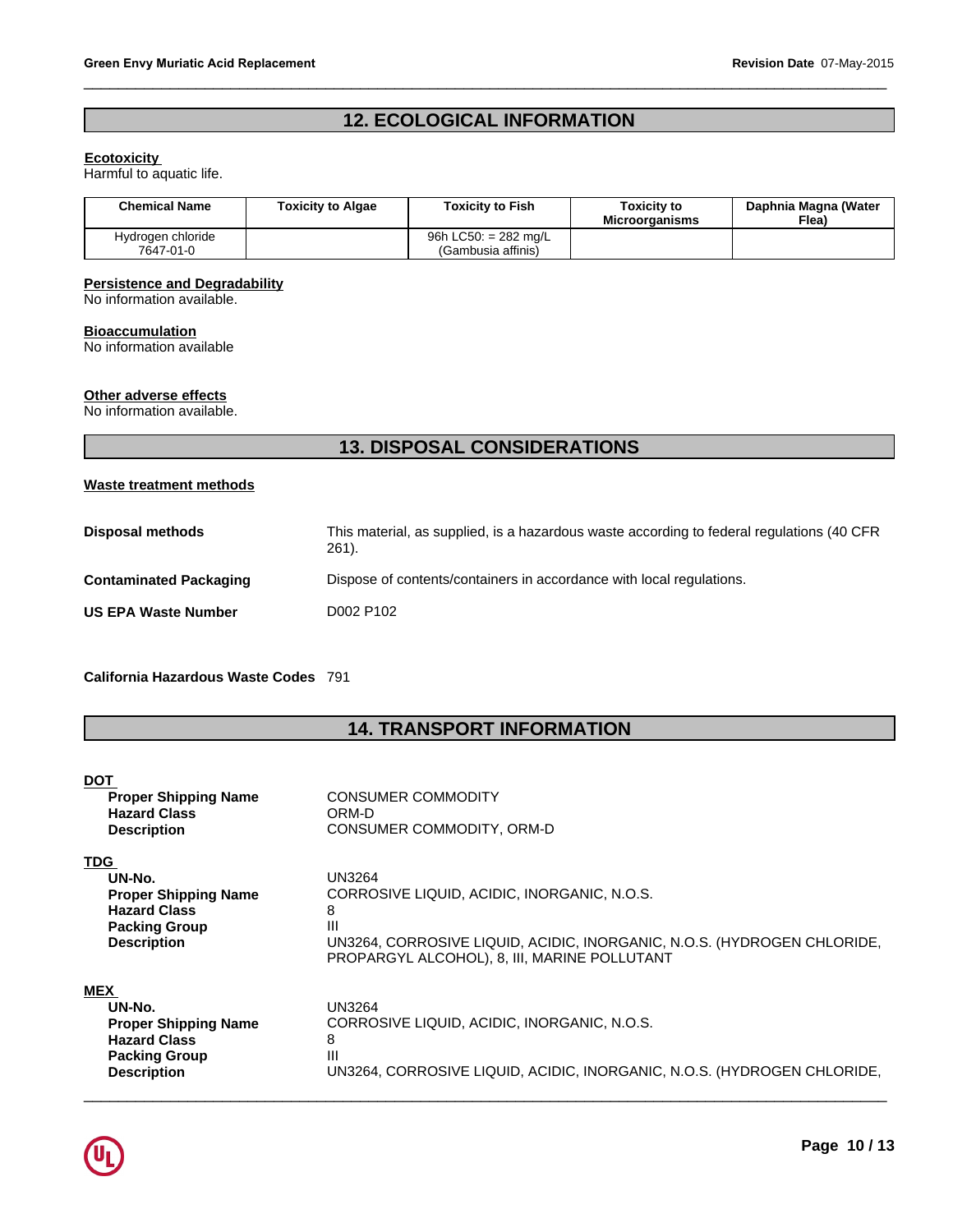# Revision Date 07-May-2018<br> **12. ECOLOGICAL INFORMATION**

 $\_$  ,  $\_$  ,  $\_$  ,  $\_$  ,  $\_$  ,  $\_$  ,  $\_$  ,  $\_$  ,  $\_$  ,  $\_$  ,  $\_$  ,  $\_$  ,  $\_$  ,  $\_$  ,  $\_$  ,  $\_$  ,  $\_$  ,  $\_$  ,  $\_$  ,  $\_$  ,  $\_$  ,  $\_$  ,  $\_$  ,  $\_$  ,  $\_$  ,  $\_$  ,  $\_$  ,  $\_$  ,  $\_$  ,  $\_$  ,  $\_$  ,  $\_$  ,  $\_$  ,  $\_$  ,  $\_$  ,  $\_$  ,  $\_$  ,

# **Ecotoxicity**

| <b>Chemical Name</b>                               | <b>Toxicity to Algae</b> | <b>Toxicity to Fish</b>                      | <b>Toxicity to</b><br><b>Microorganisms</b> | Daphnia Magna (Water<br>Flea) |
|----------------------------------------------------|--------------------------|----------------------------------------------|---------------------------------------------|-------------------------------|
| Hydrogen chloride<br>7647-01-0                     |                          | 96h LC50: $= 282$ mg/L<br>(Gambusia affinis) |                                             |                               |
| <b>Persistence and Degradability</b>               |                          |                                              |                                             |                               |
| No information available.                          |                          |                                              |                                             |                               |
| <b>Bioaccumulation</b><br>No information available |                          |                                              |                                             |                               |
| Other adverse effects<br>No information available. |                          |                                              |                                             |                               |
|                                                    |                          | <b>13. DISPOSAL CONSIDERATIONS</b>           |                                             |                               |

# **Persistence and Degradability**

# **Bioaccumulation**

# **Other adverse effects**

# **Waste treatment methods**

|                                      | <b>13. DISPOSAL CONSIDERATIONS</b>                                                                 |
|--------------------------------------|----------------------------------------------------------------------------------------------------|
| <b>Waste treatment methods</b>       |                                                                                                    |
| <b>Disposal methods</b>              | This material, as supplied, is a hazardous waste according to federal regulations (40 CFR<br>261). |
| <b>Contaminated Packaging</b>        | Dispose of contents/containers in accordance with local regulations.                               |
| <b>US EPA Waste Number</b>           | D002 P102                                                                                          |
| California Hazardous Waste Codes 791 |                                                                                                    |
|                                      | <b>14. TRANSPORT INFORMATION</b>                                                                   |
| <b>DOT</b>                           |                                                                                                    |
| <b>Proper Shipping Name</b>          | <b>CONSUMER COMMODITY</b>                                                                          |

| <b>DOT</b>                  |                                                                                                                         |
|-----------------------------|-------------------------------------------------------------------------------------------------------------------------|
| <b>Proper Shipping Name</b> | <b>CONSUMER COMMODITY</b>                                                                                               |
| <b>Hazard Class</b>         | ORM-D                                                                                                                   |
| <b>Description</b>          | CONSUMER COMMODITY, ORM-D                                                                                               |
| <b>TDG</b>                  |                                                                                                                         |
| UN-No.                      | UN3264                                                                                                                  |
| <b>Proper Shipping Name</b> | CORROSIVE LIQUID, ACIDIC, INORGANIC, N.O.S.                                                                             |
| <b>Hazard Class</b>         | 8                                                                                                                       |
| <b>Packing Group</b>        | Ш                                                                                                                       |
| <b>Description</b>          | UN3264, CORROSIVE LIQUID, ACIDIC, INORGANIC, N.O.S. (HYDROGEN CHLORIDE,<br>PROPARGYL ALCOHOL), 8, III, MARINE POLLUTANT |
| <b>MEX</b>                  |                                                                                                                         |
| UN-No.                      | UN3264                                                                                                                  |
| <b>Proper Shipping Name</b> | CORROSIVE LIQUID, ACIDIC, INORGANIC, N.O.S.                                                                             |
| <b>Hazard Class</b>         | 8                                                                                                                       |
| <b>Packing Group</b>        | Ш                                                                                                                       |
| <b>Description</b>          | UN3264, CORROSIVE LIQUID, ACIDIC, INORGANIC, N.O.S. (HYDROGEN CHLORIDE,                                                 |

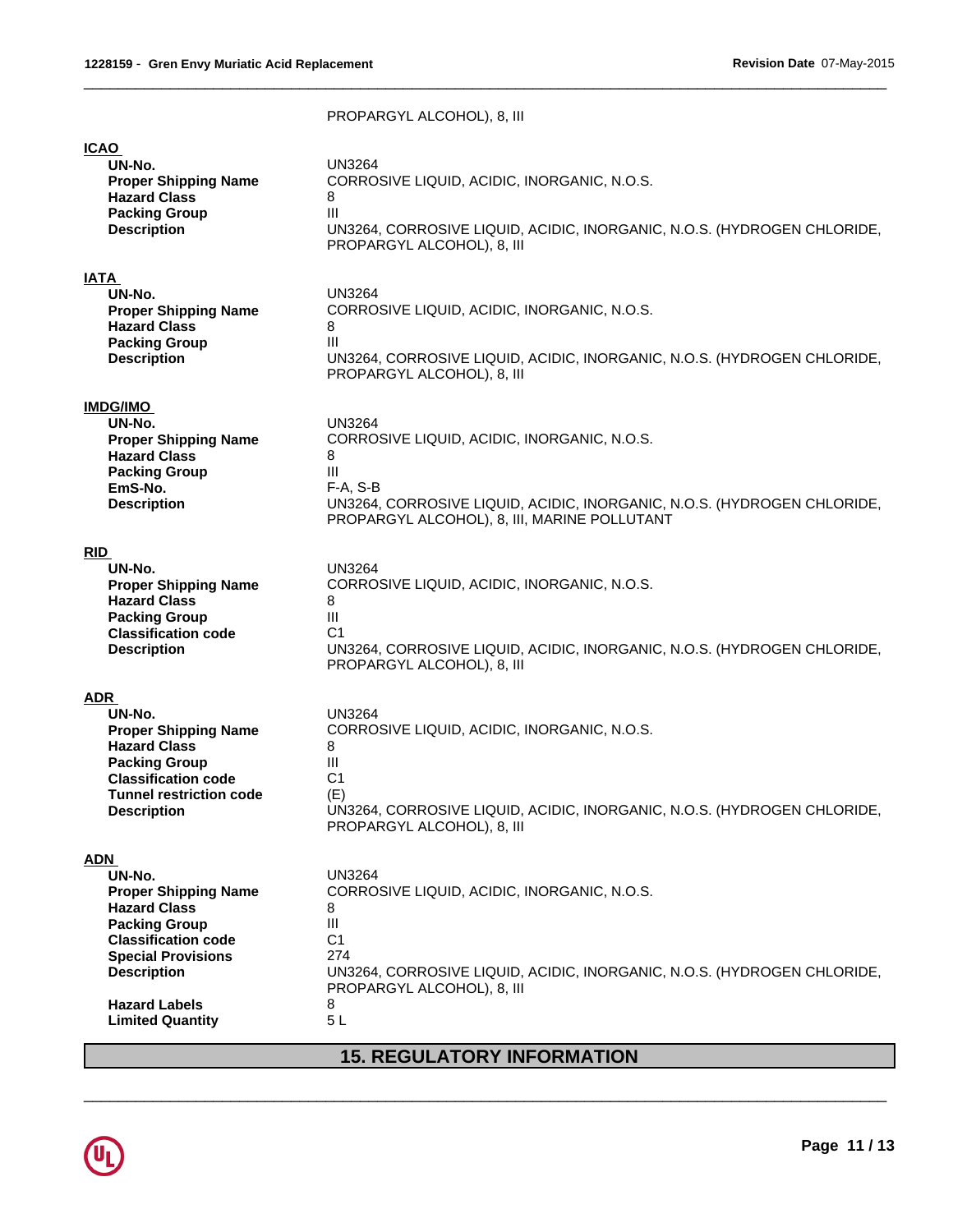|                                | PROPARGYL ALCOHOL), 8, III                                              |
|--------------------------------|-------------------------------------------------------------------------|
| <b>ICAO</b>                    | UN3264                                                                  |
| UN-No.                         | CORROSIVE LIQUID, ACIDIC, INORGANIC, N.O.S.                             |
| <b>Proper Shipping Name</b>    | 8                                                                       |
| <b>Hazard Class</b>            | Ш                                                                       |
| <b>Packing Group</b>           | UN3264, CORROSIVE LIQUID, ACIDIC, INORGANIC, N.O.S. (HYDROGEN CHLORIDE, |
| <b>Description</b>             | PROPARGYL ALCOHOL), 8, III                                              |
| <b>IATA</b>                    | <b>UN3264</b>                                                           |
| UN-No.                         | CORROSIVE LIQUID, ACIDIC, INORGANIC, N.O.S.                             |
| <b>Proper Shipping Name</b>    | 8                                                                       |
| <b>Hazard Class</b>            | III                                                                     |
| <b>Packing Group</b>           | UN3264, CORROSIVE LIQUID, ACIDIC, INORGANIC, N.O.S. (HYDROGEN CHLORIDE, |
| <b>Description</b>             | PROPARGYL ALCOHOL), 8, III                                              |
| <b>IMDG/IMO</b>                | UN3264                                                                  |
| UN-No.                         | CORROSIVE LIQUID, ACIDIC, INORGANIC, N.O.S.                             |
| <b>Proper Shipping Name</b>    | 8                                                                       |
| <b>Hazard Class</b>            | Ш                                                                       |
| <b>Packing Group</b>           | $F-A, S-B$                                                              |
| EmS-No.                        | UN3264, CORROSIVE LIQUID, ACIDIC, INORGANIC, N.O.S. (HYDROGEN CHLORIDE, |
| <b>Description</b>             | PROPARGYL ALCOHOL), 8, III, MARINE POLLUTANT                            |
| <b>RID</b>                     | <b>UN3264</b>                                                           |
| UN-No.                         | CORROSIVE LIQUID, ACIDIC, INORGANIC, N.O.S.                             |
| <b>Proper Shipping Name</b>    | 8                                                                       |
| <b>Hazard Class</b>            | Ш                                                                       |
| <b>Packing Group</b>           | C <sub>1</sub>                                                          |
| <b>Classification code</b>     | UN3264, CORROSIVE LIQUID, ACIDIC, INORGANIC, N.O.S. (HYDROGEN CHLORIDE, |
| <b>Description</b>             | PROPARGYL ALCOHOL), 8, III                                              |
| <b>ADR</b>                     | <b>UN3264</b>                                                           |
| UN-No.                         | CORROSIVE LIQUID, ACIDIC, INORGANIC, N.O.S.                             |
| <b>Proper Shipping Name</b>    | 8                                                                       |
| <b>Hazard Class</b>            | III                                                                     |
| <b>Packing Group</b>           | C <sub>1</sub>                                                          |
| <b>Classification code</b>     | (E)                                                                     |
| <b>Tunnel restriction code</b> | UN3264, CORROSIVE LIQUID, ACIDIC, INORGANIC, N.O.S. (HYDROGEN CHLORIDE, |
| <b>Description</b>             | PROPARGYL ALCOHOL), 8, III                                              |
| <b>ADN</b>                     | <b>UN3264</b>                                                           |
| UN-No.                         | CORROSIVE LIQUID, ACIDIC, INORGANIC, N.O.S.                             |
| <b>Proper Shipping Name</b>    | 8                                                                       |
| <b>Hazard Class</b>            | Ш                                                                       |
| <b>Packing Group</b>           | C <sub>1</sub>                                                          |
| <b>Classification code</b>     | 274                                                                     |
| <b>Special Provisions</b>      | UN3264, CORROSIVE LIQUID, ACIDIC, INORGANIC, N.O.S. (HYDROGEN CHLORIDE, |
| <b>Description</b>             | PROPARGYL ALCOHOL), 8, III                                              |
| <b>Hazard Labels</b>           | 8                                                                       |
| <b>Limited Quantity</b>        | 5L                                                                      |
|                                | <b>15. REGULATORY INFORMATION</b>                                       |

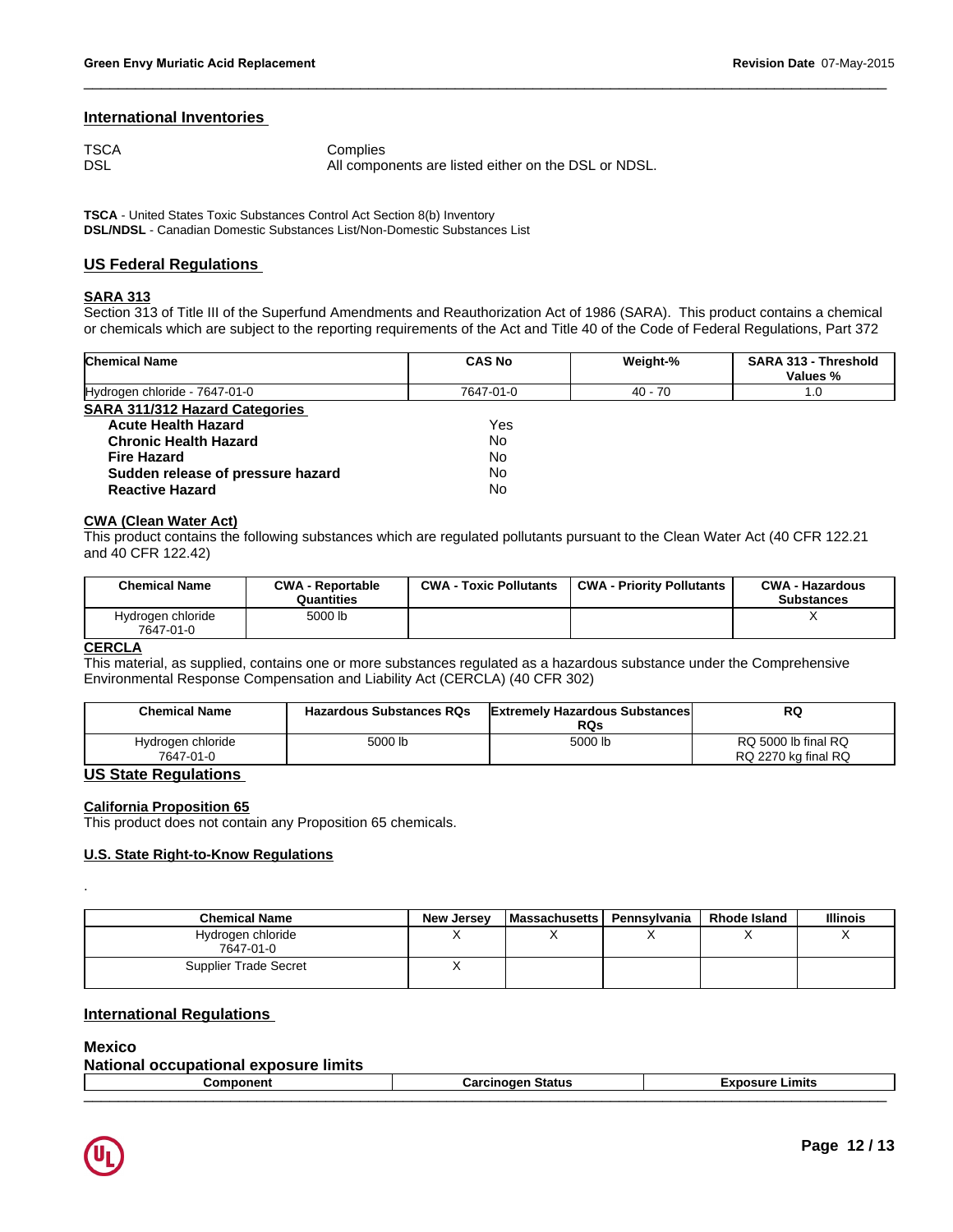# **International Inventories**

| TSCA | Complies                                             |
|------|------------------------------------------------------|
| DSL  | All components are listed either on the DSL or NDSL. |

**TSCA** - United States Toxic Substances Control Act Section 8(b) Inventory **DSL/NDSL** - Canadian Domestic Substances List/Non-Domestic Substances List

# **US Federal Regulations**

# **SARA 313**

Section 313 of Title III of the Superfund Amendments and Reauthorization Act of 1986 (SARA). This product contains a chemical or chemicals which are subject to the reporting requirements of the Act and Title 40 of the Code of Federal Regulations, Part 372

 $\_$  ,  $\_$  ,  $\_$  ,  $\_$  ,  $\_$  ,  $\_$  ,  $\_$  ,  $\_$  ,  $\_$  ,  $\_$  ,  $\_$  ,  $\_$  ,  $\_$  ,  $\_$  ,  $\_$  ,  $\_$  ,  $\_$  ,  $\_$  ,  $\_$  ,  $\_$  ,  $\_$  ,  $\_$  ,  $\_$  ,  $\_$  ,  $\_$  ,  $\_$  ,  $\_$  ,  $\_$  ,  $\_$  ,  $\_$  ,  $\_$  ,  $\_$  ,  $\_$  ,  $\_$  ,  $\_$  ,  $\_$  ,  $\_$  ,

| <b>Chemical Name</b>                  | <b>CAS No</b> | Weight-% | <b>SARA 313 - Threshold</b><br>Values % |
|---------------------------------------|---------------|----------|-----------------------------------------|
| Hydrogen chloride - 7647-01-0         | 7647-01-0     | 40 - 70  | 1.0                                     |
| <b>SARA 311/312 Hazard Categories</b> |               |          |                                         |
| <b>Acute Health Hazard</b>            | Yes           |          |                                         |
| <b>Chronic Health Hazard</b>          | No            |          |                                         |
| <b>Fire Hazard</b>                    | No            |          |                                         |
| Sudden release of pressure hazard     | No            |          |                                         |
| <b>Reactive Hazard</b>                | No            |          |                                         |

# **CWA (Clean Water Act)**

This product contains the following substances which are regulated pollutants pursuant to the Clean Water Act (40 CFR 122.21 and 40 CFR 122.42)

| <b>Chemical Name</b>           | <b>CWA - Reportable</b><br>Quantities | <b>CWA - Toxic Pollutants</b> | <b>CWA - Priority Pollutants</b> | <b>CWA - Hazardous</b><br><b>Substances</b> |
|--------------------------------|---------------------------------------|-------------------------------|----------------------------------|---------------------------------------------|
| Hydrogen chloride<br>7647-01-0 | 5000 lb                               |                               |                                  |                                             |
| <b>CERCLA</b>                  |                                       |                               |                                  |                                             |

This material, as supplied, contains one or more substances regulated as a hazardous substance under the Comprehensive Environmental Response Compensation and Liability Act (CERCLA) (40 CFR 302)

| <b>Chemical Name</b>           | <b>Hazardous Substances RQs</b> | <b>Extremely Hazardous Substances</b><br><b>RQs</b> | RQ                                         |
|--------------------------------|---------------------------------|-----------------------------------------------------|--------------------------------------------|
| Hydrogen chloride<br>7647-01-0 | 5000 lb                         | 5000 lb                                             | RQ 5000 lb final RQ<br>RQ 2270 kg final RQ |

# **US State Regulations**

# **California Proposition 65**

This product does not contain any Proposition 65 chemicals.

# **U.S. State Right-to-Know Regulations**

| <b>Chemical Name</b>           | <b>New Jersey</b> | l Massachusetts l | Pennsvlvania | <b>Rhode Island</b> | <b>Illinois</b> |
|--------------------------------|-------------------|-------------------|--------------|---------------------|-----------------|
| Hydrogen chloride<br>7647-01-0 |                   |                   |              |                     |                 |
| <b>Supplier Trade Secret</b>   |                   |                   |              |                     |                 |

# **International Regulations**

# **Mexico**

.

| <b>Nation</b><br>limits<br><b>AYDOSUITA</b><br>------<br><b>occupational</b><br>. Іо.<br><b>GYNOSAIG</b> |                                     |                        |  |
|----------------------------------------------------------------------------------------------------------|-------------------------------------|------------------------|--|
| omponen <sup>.</sup>                                                                                     | Caroinoqon<br>Status<br>.<br>ہ<br>. | <b>Exposure Limits</b> |  |
|                                                                                                          |                                     |                        |  |